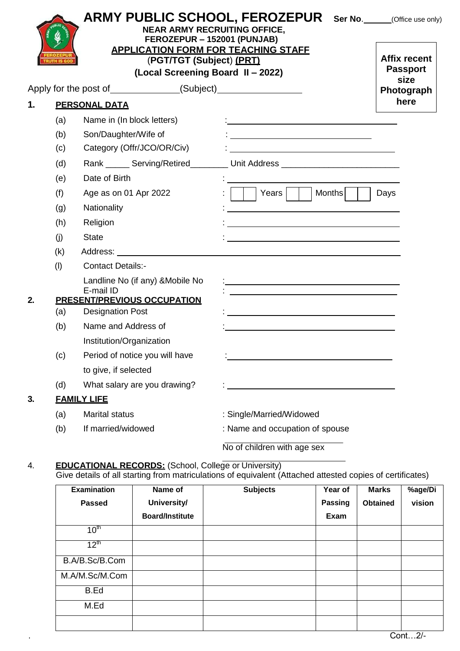|    |     | <b>NEAR ARMY RECRUITING OFFICE,</b><br>FEROZEPUR - 152001 (PUNJAB)<br><b>APPLICATION FORM FOR TEACHING STAFF</b><br>(PGT/TGT (Subject) (PRT)<br>(Local Screening Board II - 2022) | <b>ARMY PUBLIC SCHOOL, FEROZEPUR</b> Ser No. COLOGE USE Only)                                                                                                                                                                  | <b>Affix recent</b><br><b>Passport</b><br>size |
|----|-----|-----------------------------------------------------------------------------------------------------------------------------------------------------------------------------------|--------------------------------------------------------------------------------------------------------------------------------------------------------------------------------------------------------------------------------|------------------------------------------------|
|    |     | Apply for the post of ______________(Subject) __________________________________                                                                                                  |                                                                                                                                                                                                                                | Photograph                                     |
| 1. |     | <b>PERSONAL DATA</b>                                                                                                                                                              |                                                                                                                                                                                                                                | here                                           |
|    | (a) | Name in (In block letters)                                                                                                                                                        |                                                                                                                                                                                                                                |                                                |
|    | (b) | Son/Daughter/Wife of                                                                                                                                                              | <u> 1980 - Andrea Andrew Maria (h. 1980).</u>                                                                                                                                                                                  |                                                |
|    | (c) | Category (Offr/JCO/OR/Civ)                                                                                                                                                        | <u> 1988 - Andrea Brand, amerikansk politiker (</u>                                                                                                                                                                            |                                                |
|    | (d) |                                                                                                                                                                                   | Rank _______ Serving/Retired___________ Unit Address ___________________________                                                                                                                                               |                                                |
|    | (e) | Date of Birth                                                                                                                                                                     |                                                                                                                                                                                                                                |                                                |
|    | (f) | Age as on 01 Apr 2022                                                                                                                                                             | Months<br>Years                                                                                                                                                                                                                | Days                                           |
|    | (g) | Nationality                                                                                                                                                                       |                                                                                                                                                                                                                                |                                                |
|    | (h) | Religion                                                                                                                                                                          |                                                                                                                                                                                                                                |                                                |
|    | (i) | <b>State</b>                                                                                                                                                                      |                                                                                                                                                                                                                                |                                                |
|    | (k) |                                                                                                                                                                                   | Address: the contract of the contract of the contract of the contract of the contract of the contract of the contract of the contract of the contract of the contract of the contract of the contract of the contract of the c |                                                |
|    | (1) | <b>Contact Details:-</b>                                                                                                                                                          |                                                                                                                                                                                                                                |                                                |
|    |     | Landline No (if any) & Mobile No<br>E-mail ID                                                                                                                                     |                                                                                                                                                                                                                                |                                                |
| 2. |     | <b>PRESENT/PREVIOUS OCCUPATION</b>                                                                                                                                                | <u> 1989 - Andrea Aonaichte, ann an t-Èireann an t-Èireann an t-Èireann an t-Èireann an t-Èireann an t-Èireann an </u>                                                                                                         |                                                |
|    | (a) | <b>Designation Post</b>                                                                                                                                                           |                                                                                                                                                                                                                                |                                                |
|    | (b) | Name and Address of                                                                                                                                                               |                                                                                                                                                                                                                                |                                                |
|    |     | Institution/Organization                                                                                                                                                          |                                                                                                                                                                                                                                |                                                |
|    | (c) | Period of notice you will have                                                                                                                                                    |                                                                                                                                                                                                                                |                                                |
|    |     | to give, if selected                                                                                                                                                              |                                                                                                                                                                                                                                |                                                |
|    | (d) | What salary are you drawing?                                                                                                                                                      |                                                                                                                                                                                                                                |                                                |
| 3. |     | <b>FAMILY LIFE</b>                                                                                                                                                                |                                                                                                                                                                                                                                |                                                |
|    | (a) | <b>Marital status</b>                                                                                                                                                             | : Single/Married/Widowed                                                                                                                                                                                                       |                                                |
|    | (b) | If married/widowed                                                                                                                                                                | : Name and occupation of spouse                                                                                                                                                                                                |                                                |
|    |     |                                                                                                                                                                                   | No of children with age sex                                                                                                                                                                                                    |                                                |

## 4. **EDUCATIONAL RECORDS:** (School, College or University) Give details of all starting from matriculations of equivalent (Attached attested copies of certificates)

| <b>Examination</b> | Name of                | <b>Subjects</b> | Year of        | <b>Marks</b>    | %age/Di |
|--------------------|------------------------|-----------------|----------------|-----------------|---------|
| <b>Passed</b>      | University/            |                 | <b>Passing</b> | <b>Obtained</b> | vision  |
|                    | <b>Board/Institute</b> |                 | Exam           |                 |         |
| 10 <sup>th</sup>   |                        |                 |                |                 |         |
| $12^{\text{th}}$   |                        |                 |                |                 |         |
| B.A/B.Sc/B.Com     |                        |                 |                |                 |         |
| M.A/M.Sc/M.Com     |                        |                 |                |                 |         |
| B.Ed               |                        |                 |                |                 |         |
| M.Ed               |                        |                 |                |                 |         |
|                    |                        |                 |                |                 |         |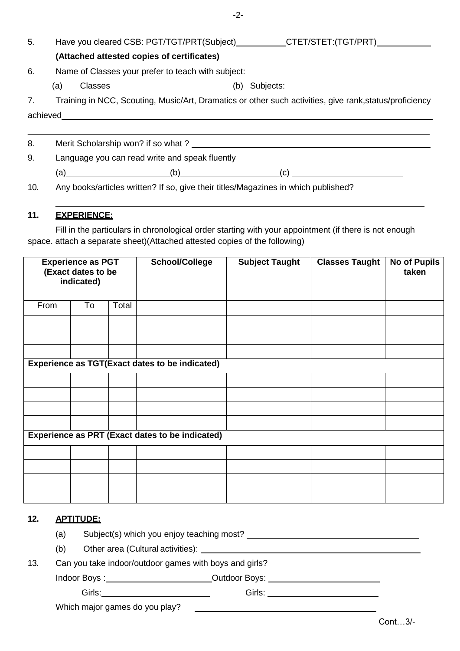| 5. |                                                                                                         | Have you cleared CSB: PGT/TGT/PRT(Subject)____________CTET/STET:(TGT/PRT)________ |  |  |  |
|----|---------------------------------------------------------------------------------------------------------|-----------------------------------------------------------------------------------|--|--|--|
|    | (Attached attested copies of certificates)                                                              |                                                                                   |  |  |  |
| 6. | Name of Classes your prefer to teach with subject:                                                      |                                                                                   |  |  |  |
|    | $Classes$ (b)<br>(a)                                                                                    |                                                                                   |  |  |  |
| 7. | Training in NCC, Scouting, Music/Art, Dramatics or other such activities, give rank, status/proficiency |                                                                                   |  |  |  |
|    |                                                                                                         |                                                                                   |  |  |  |
|    |                                                                                                         |                                                                                   |  |  |  |
| 8. |                                                                                                         |                                                                                   |  |  |  |
| 9. | Language you can read write and speak fluently                                                          |                                                                                   |  |  |  |
|    | (b)                                                                                                     |                                                                                   |  |  |  |

10. Any books/articles written? If so, give their titles/Magazines in which published?

## **11. EXPERIENCE:**

Fill in the particulars in chronological order starting with your appointment (if there is not enough space. attach a separate sheet)(Attached attested copies of the following)

| <b>Experience as PGT</b><br>(Exact dates to be<br>indicated) |    |       | <b>School/College</b> | <b>Subject Taught</b> | <b>Classes Taught</b> | No of Pupils<br>taken |
|--------------------------------------------------------------|----|-------|-----------------------|-----------------------|-----------------------|-----------------------|
| From                                                         | To | Total |                       |                       |                       |                       |
|                                                              |    |       |                       |                       |                       |                       |
|                                                              |    |       |                       |                       |                       |                       |
|                                                              |    |       |                       |                       |                       |                       |
| <b>Experience as TGT(Exact dates to be indicated)</b>        |    |       |                       |                       |                       |                       |
|                                                              |    |       |                       |                       |                       |                       |
|                                                              |    |       |                       |                       |                       |                       |
|                                                              |    |       |                       |                       |                       |                       |
|                                                              |    |       |                       |                       |                       |                       |
| <b>Experience as PRT (Exact dates to be indicated)</b>       |    |       |                       |                       |                       |                       |
|                                                              |    |       |                       |                       |                       |                       |
|                                                              |    |       |                       |                       |                       |                       |
|                                                              |    |       |                       |                       |                       |                       |
|                                                              |    |       |                       |                       |                       |                       |

## **12. APTITUDE:**

- (a) Subject(s) which you enjoy teaching most? \_\_\_\_\_\_\_\_\_\_\_\_\_\_\_\_\_\_\_\_\_\_\_\_\_\_\_\_\_\_\_\_\_\_
- (b) Other area (Cultural activities): \_\_\_\_

13. Can you take indoor/outdoor games with boys and girls?

Indoor Boys : Outdoor Boys:

Girls: Girls:

Which major games do you play?